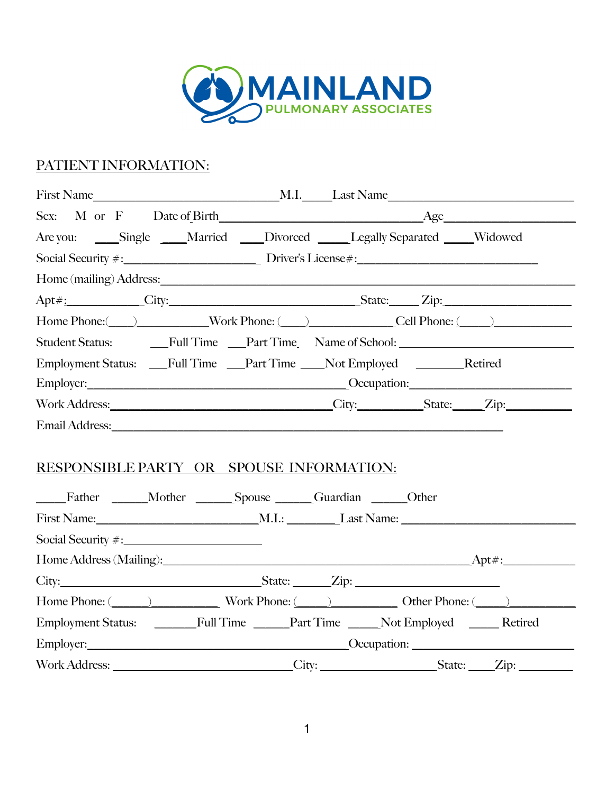

## PATIENT INFORMATION:

| Are you: _____Single _____Married ____Divorced ______Legally Separated _____Widowed                                                                                                                                            |  |  |
|--------------------------------------------------------------------------------------------------------------------------------------------------------------------------------------------------------------------------------|--|--|
|                                                                                                                                                                                                                                |  |  |
| Home (mailing) Address: Note and the set of the set of the set of the set of the set of the set of the set of the set of the set of the set of the set of the set of the set of the set of the set of the set of the set of th |  |  |
| Apt#: City: City: City: State: Zip:                                                                                                                                                                                            |  |  |
| Home Phone: (Call Phone: Cell Phone: Cell Phone: Cell Phone: (Call Phone: Cell Phone: C                                                                                                                                        |  |  |
| Student Status: Full Time Part Time Name of School:                                                                                                                                                                            |  |  |
| Employment Status: __Full Time __Part Time ___Not Employed ______Retired                                                                                                                                                       |  |  |
| Employer: Compare Compare Compare Compare Compare Compare Compare Compare Compare Compare Compare Compare Compare Compare Compare Compare Compare Compare Compare Compare Compare Compare Compare Compare Compare Compare Comp |  |  |
|                                                                                                                                                                                                                                |  |  |
|                                                                                                                                                                                                                                |  |  |
| RESPONSIBLE PARTY OR SPOUSE INFORMATION:<br>Father Mother Spouse Guardian Chern                                                                                                                                                |  |  |
|                                                                                                                                                                                                                                |  |  |
|                                                                                                                                                                                                                                |  |  |
|                                                                                                                                                                                                                                |  |  |
|                                                                                                                                                                                                                                |  |  |
| Home Phone: (Changelenge Compared Vork Phone: (Changelenge Compared Compared Compared Compared Compared Compared Compared Compared Compared Compared Compared Compared Compared Compared Compared Compared Compared Compared C |  |  |
| Employment Status: ________Full Time _____Part Time _____Not Employed _____Retired                                                                                                                                             |  |  |
| Employer: Comparison Comparison Comparison Comparison Comparison Comparison Comparison Comparison Comparison Comparison Comparison Comparison Comparison Comparison Comparison Comparison Comparison Comparison Comparison Com |  |  |
| Work Address: ____________________________City: ______________________State: _____Zip: ____________                                                                                                                            |  |  |